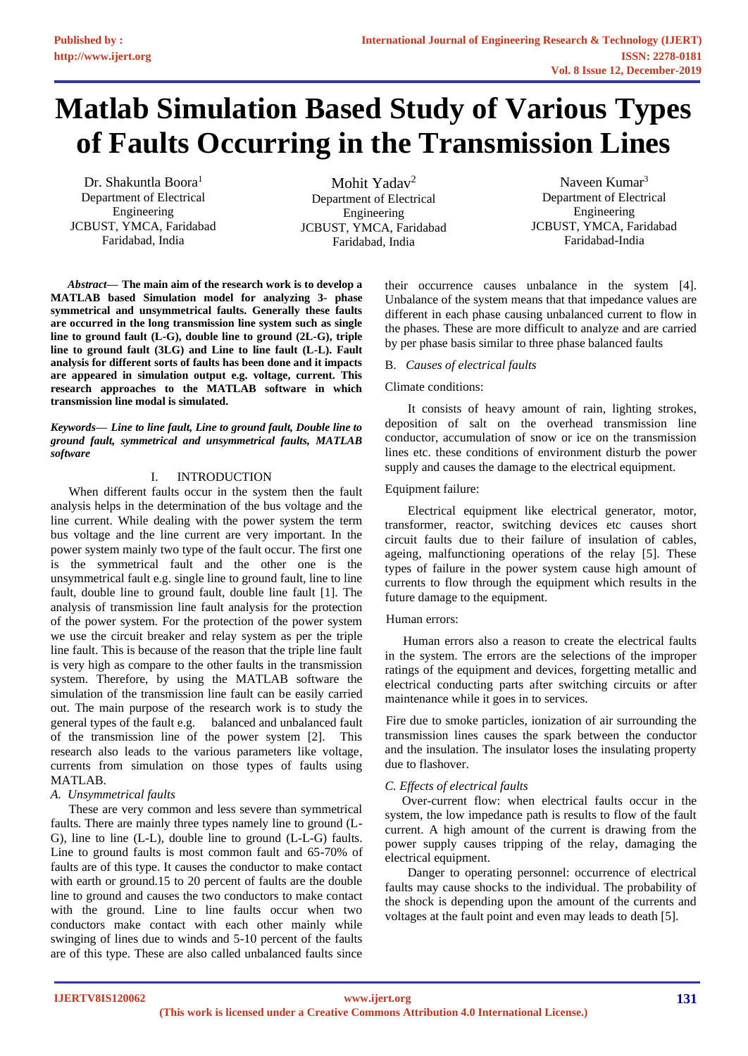# **Matlab Simulation Based Study of Various Types of Faults Occurring in the Transmission Lines**

Dr. Shakuntla Boora<sup>1</sup> Department of Electrical Engineering JCBUST, YMCA, Faridabad Faridabad, India

Mohit Yadav<sup>2</sup> Department of Electrical Engineering JCBUST, YMCA, Faridabad Faridabad, India

Naveen Kumar<sup>3</sup> Department of Electrical Engineering JCBUST, YMCA, Faridabad Faridabad-India

*Abstract***— The main aim of the research work is to develop a MATLAB based Simulation model for analyzing 3- phase symmetrical and unsymmetrical faults. Generally these faults are occurred in the long transmission line system such as single line to ground fault (L-G), double line to ground (2L-G), triple line to ground fault (3LG) and Line to line fault (L-L). Fault analysis for different sorts of faults has been done and it impacts are appeared in simulation output e.g. voltage, current. This research approaches to the MATLAB software in which transmission line modal is simulated.** 

#### *Keywords— Line to line fault, Line to ground fault, Double line to ground fault, symmetrical and unsymmetrical faults, MATLAB software*

## I. INTRODUCTION

When different faults occur in the system then the fault analysis helps in the determination of the bus voltage and the line current. While dealing with the power system the term bus voltage and the line current are very important. In the power system mainly two type of the fault occur. The first one is the symmetrical fault and the other one is the unsymmetrical fault e.g. single line to ground fault, line to line fault, double line to ground fault, double line fault [1]. The analysis of transmission line fault analysis for the protection of the power system. For the protection of the power system we use the circuit breaker and relay system as per the triple line fault. This is because of the reason that the triple line fault is very high as compare to the other faults in the transmission system. Therefore, by using the MATLAB software the simulation of the transmission line fault can be easily carried out. The main purpose of the research work is to study the general types of the fault e.g. balanced and unbalanced fault of the transmission line of the power system [2]. This research also leads to the various parameters like voltage, currents from simulation on those types of faults using MATLAB.

## *A. Unsymmetrical faults*

These are very common and less severe than symmetrical faults. There are mainly three types namely line to ground (L-G), line to line (L-L), double line to ground (L-L-G) faults. Line to ground faults is most common fault and 65-70% of faults are of this type. It causes the conductor to make contact with earth or ground.15 to 20 percent of faults are the double line to ground and causes the two conductors to make contact with the ground. Line to line faults occur when two conductors make contact with each other mainly while swinging of lines due to winds and 5-10 percent of the faults are of this type. These are also called unbalanced faults since

their occurrence causes unbalance in the system [4]. Unbalance of the system means that that impedance values are different in each phase causing unbalanced current to flow in the phases. These are more difficult to analyze and are carried by per phase basis similar to three phase balanced faults

## B. *Causes of electrical faults*

## Climate conditions:

It consists of heavy amount of rain, lighting strokes, deposition of salt on the overhead transmission line conductor, accumulation of snow or ice on the transmission lines etc. these conditions of environment disturb the power supply and causes the damage to the electrical equipment.

## Equipment failure:

Electrical equipment like electrical generator, motor, transformer, reactor, switching devices etc causes short circuit faults due to their failure of insulation of cables, ageing, malfunctioning operations of the relay [5]. These types of failure in the power system cause high amount of currents to flow through the equipment which results in the future damage to the equipment.

## Human errors:

Human errors also a reason to create the electrical faults in the system. The errors are the selections of the improper ratings of the equipment and devices, forgetting metallic and electrical conducting parts after switching circuits or after maintenance while it goes in to services.

 Fire due to smoke particles, ionization of air surrounding the transmission lines causes the spark between the conductor and the insulation. The insulator loses the insulating property due to flashover.

# *C. Effects of electrical faults*

Over-current flow: when electrical faults occur in the system, the low impedance path is results to flow of the fault current. A high amount of the current is drawing from the power supply causes tripping of the relay, damaging the electrical equipment.

Danger to operating personnel: occurrence of electrical faults may cause shocks to the individual. The probability of the shock is depending upon the amount of the currents and voltages at the fault point and even may leads to death [5].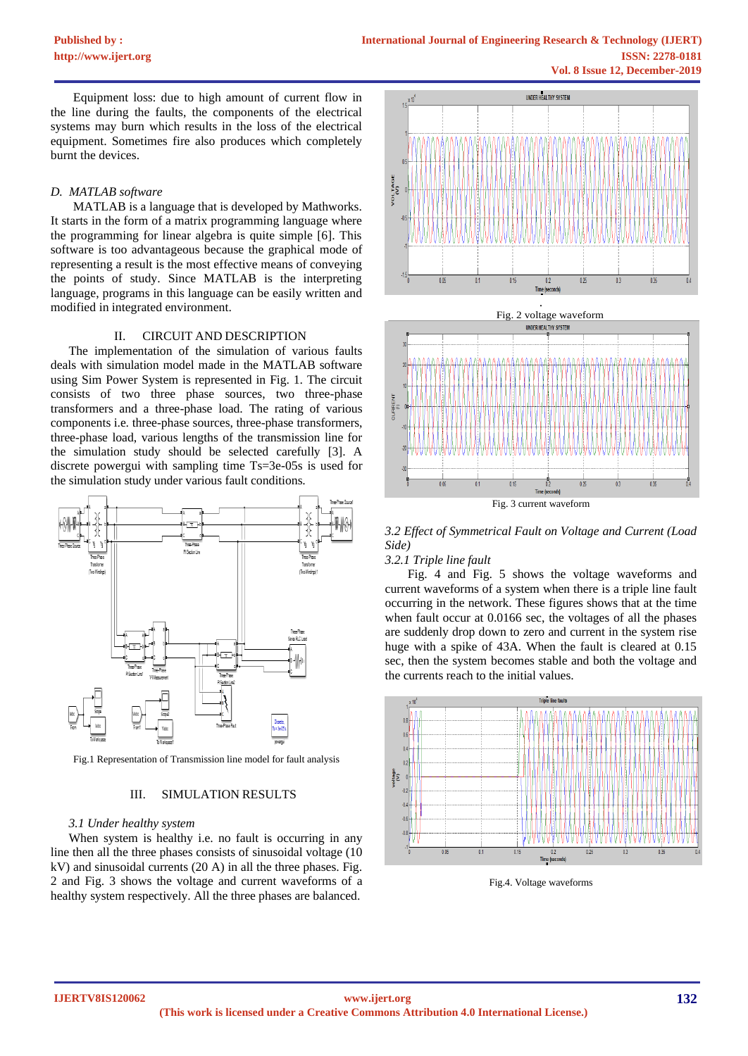Equipment loss: due to high amount of current flow in the line during the faults, the components of the electrical systems may burn which results in the loss of the electrical equipment. Sometimes fire also produces which completely burnt the devices.

## *D. MATLAB software*

MATLAB is a language that is developed by Mathworks. It starts in the form of a matrix programming language where the programming for linear algebra is quite simple [6]. This software is too advantageous because the graphical mode of representing a result is the most effective means of conveying the points of study. Since MATLAB is the interpreting language, programs in this language can be easily written and modified in integrated environment.

# II. CIRCUIT AND DESCRIPTION

The implementation of the simulation of various faults deals with simulation model made in the MATLAB software using Sim Power System is represented in Fig. 1. The circuit consists of two three phase sources, two three-phase transformers and a three-phase load. The rating of various components i.e. three-phase sources, three-phase transformers, three-phase load, various lengths of the transmission line for the simulation study should be selected carefully [3]. A discrete powergui with sampling time Ts=3e-05s is used for the simulation study under various fault conditions.



Fig.1 Representation of Transmission line model for fault analysis

## III. SIMULATION RESULTS

## *3.1 Under healthy system*

When system is healthy i.e. no fault is occurring in any line then all the three phases consists of sinusoidal voltage (10 kV) and sinusoidal currents (20 A) in all the three phases. Fig. 2 and Fig. 3 shows the voltage and current waveforms of a healthy system respectively. All the three phases are balanced.





*3.2 Effect of Symmetrical Fault on Voltage and Current (Load Side)*

## *3.2.1 Triple line fault*

Fig. 4 and Fig. 5 shows the voltage waveforms and current waveforms of a system when there is a triple line fault occurring in the network. These figures shows that at the time when fault occur at 0.0166 sec, the voltages of all the phases are suddenly drop down to zero and current in the system rise huge with a spike of 43A. When the fault is cleared at 0.15 sec, then the system becomes stable and both the voltage and the currents reach to the initial values.



Fig.4. Voltage waveforms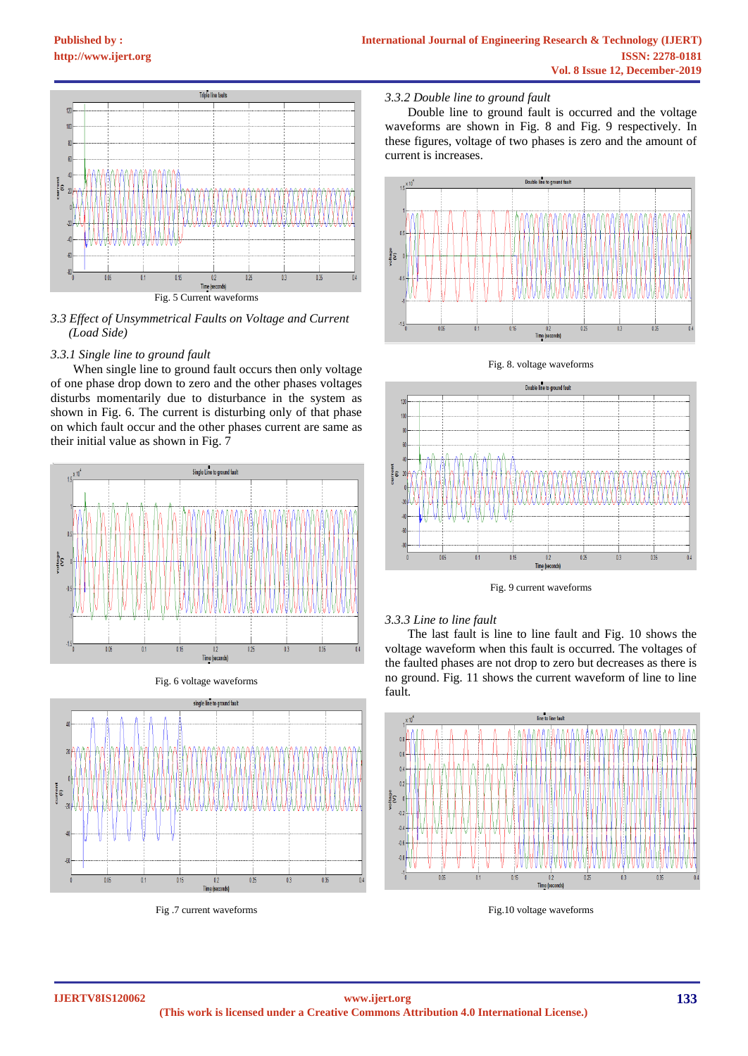

*3.3 Effect of Unsymmetrical Faults on Voltage and Current (Load Side)*

## *3.3.1 Single line to ground fault*

When single line to ground fault occurs then only voltage of one phase drop down to zero and the other phases voltages disturbs momentarily due to disturbance in the system as shown in Fig. 6. The current is disturbing only of that phase on which fault occur and the other phases current are same as their initial value as shown in Fig. 7



Fig. 6 voltage waveforms



Fig .7 current waveforms

## *3.3.2 Double line to ground fault*

Double line to ground fault is occurred and the voltage waveforms are shown in Fig. 8 and Fig. 9 respectively. In these figures, voltage of two phases is zero and the amount of current is increases.



Fig. 8. voltage waveforms



Fig. 9 current waveforms

## *3.3.3 Line to line fault*

The last fault is line to line fault and Fig. 10 shows the voltage waveform when this fault is occurred. The voltages of the faulted phases are not drop to zero but decreases as there is no ground. Fig. 11 shows the current waveform of line to line fault.



Fig.10 voltage waveforms